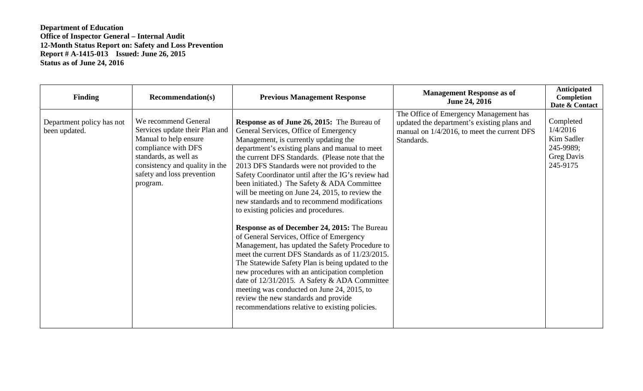| <b>Finding</b>                             | <b>Recommendation(s)</b>                                                                                                                                                                                    | <b>Previous Management Response</b>                                                                                                                                                                                                                                                                                                                                                                                                                                                                                                                                                                                                                                                                                                                                                                                                                                                                                                                                                                                                                | <b>Management Response as of</b><br><b>June 24, 2016</b>                                                                                           | Anticipated<br>Completion<br>Date & Contact                                |
|--------------------------------------------|-------------------------------------------------------------------------------------------------------------------------------------------------------------------------------------------------------------|----------------------------------------------------------------------------------------------------------------------------------------------------------------------------------------------------------------------------------------------------------------------------------------------------------------------------------------------------------------------------------------------------------------------------------------------------------------------------------------------------------------------------------------------------------------------------------------------------------------------------------------------------------------------------------------------------------------------------------------------------------------------------------------------------------------------------------------------------------------------------------------------------------------------------------------------------------------------------------------------------------------------------------------------------|----------------------------------------------------------------------------------------------------------------------------------------------------|----------------------------------------------------------------------------|
| Department policy has not<br>been updated. | We recommend General<br>Services update their Plan and<br>Manual to help ensure<br>compliance with DFS<br>standards, as well as<br>consistency and quality in the<br>safety and loss prevention<br>program. | <b>Response as of June 26, 2015:</b> The Bureau of<br>General Services, Office of Emergency<br>Management, is currently updating the<br>department's existing plans and manual to meet<br>the current DFS Standards. (Please note that the<br>2013 DFS Standards were not provided to the<br>Safety Coordinator until after the IG's review had<br>been initiated.) The Safety & ADA Committee<br>will be meeting on June 24, 2015, to review the<br>new standards and to recommend modifications<br>to existing policies and procedures.<br><b>Response as of December 24, 2015: The Bureau</b><br>of General Services, Office of Emergency<br>Management, has updated the Safety Procedure to<br>meet the current DFS Standards as of 11/23/2015.<br>The Statewide Safety Plan is being updated to the<br>new procedures with an anticipation completion<br>date of 12/31/2015. A Safety & ADA Committee<br>meeting was conducted on June 24, 2015, to<br>review the new standards and provide<br>recommendations relative to existing policies. | The Office of Emergency Management has<br>updated the department's existing plans and<br>manual on 1/4/2016, to meet the current DFS<br>Standards. | Completed<br>1/4/2016<br>Kim Sadler<br>245-9989;<br>Greg Davis<br>245-9175 |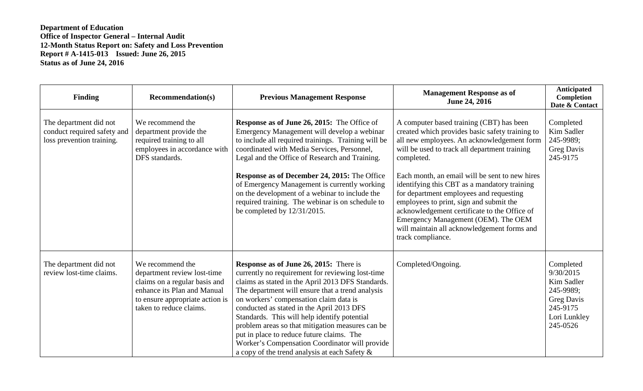| <b>Finding</b>                                                                     | <b>Recommendation(s)</b>                                                                                                                                                      | <b>Previous Management Response</b>                                                                                                                                                                                                                                                                                                                                                                                                                                                                                                                   | <b>Management Response as of</b><br><b>June 24, 2016</b>                                                                                                                                                                                                                                                                                                                                                                                                                                                                                                    | Anticipated<br>Completion<br>Date & Contact                                                                    |
|------------------------------------------------------------------------------------|-------------------------------------------------------------------------------------------------------------------------------------------------------------------------------|-------------------------------------------------------------------------------------------------------------------------------------------------------------------------------------------------------------------------------------------------------------------------------------------------------------------------------------------------------------------------------------------------------------------------------------------------------------------------------------------------------------------------------------------------------|-------------------------------------------------------------------------------------------------------------------------------------------------------------------------------------------------------------------------------------------------------------------------------------------------------------------------------------------------------------------------------------------------------------------------------------------------------------------------------------------------------------------------------------------------------------|----------------------------------------------------------------------------------------------------------------|
| The department did not<br>conduct required safety and<br>loss prevention training. | We recommend the<br>department provide the<br>required training to all<br>employees in accordance with<br>DFS standards.                                                      | <b>Response as of June 26, 2015:</b> The Office of<br>Emergency Management will develop a webinar<br>to include all required trainings. Training will be<br>coordinated with Media Services, Personnel,<br>Legal and the Office of Research and Training.<br><b>Response as of December 24, 2015: The Office</b><br>of Emergency Management is currently working<br>on the development of a webinar to include the<br>required training. The webinar is on schedule to<br>be completed by $12/31/2015$ .                                              | A computer based training (CBT) has been<br>created which provides basic safety training to<br>all new employees. An acknowledgement form<br>will be used to track all department training<br>completed.<br>Each month, an email will be sent to new hires<br>identifying this CBT as a mandatory training<br>for department employees and requesting<br>employees to print, sign and submit the<br>acknowledgement certificate to the Office of<br>Emergency Management (OEM). The OEM<br>will maintain all acknowledgement forms and<br>track compliance. | Completed<br>Kim Sadler<br>245-9989;<br><b>Greg Davis</b><br>245-9175                                          |
| The department did not<br>review lost-time claims.                                 | We recommend the<br>department review lost-time<br>claims on a regular basis and<br>enhance its Plan and Manual<br>to ensure appropriate action is<br>taken to reduce claims. | <b>Response as of June 26, 2015:</b> There is<br>currently no requirement for reviewing lost-time<br>claims as stated in the April 2013 DFS Standards.<br>The department will ensure that a trend analysis<br>on workers' compensation claim data is<br>conducted as stated in the April 2013 DFS<br>Standards. This will help identify potential<br>problem areas so that mitigation measures can be<br>put in place to reduce future claims. The<br>Worker's Compensation Coordinator will provide<br>a copy of the trend analysis at each Safety & | Completed/Ongoing.                                                                                                                                                                                                                                                                                                                                                                                                                                                                                                                                          | Completed<br>9/30/2015<br>Kim Sadler<br>245-9989;<br><b>Greg Davis</b><br>245-9175<br>Lori Lunkley<br>245-0526 |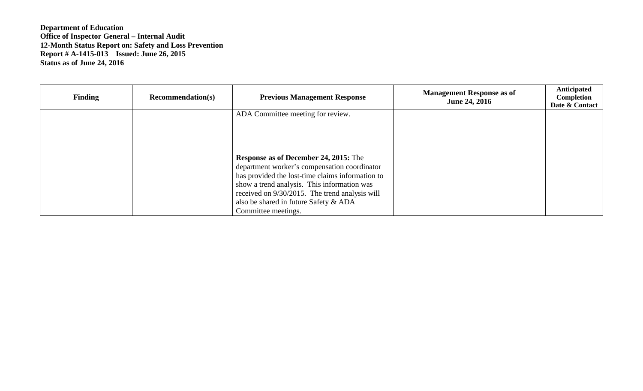| <b>Finding</b> | <b>Recommendation(s)</b> | <b>Previous Management Response</b>              | <b>Management Response as of</b><br><b>June 24, 2016</b> | Anticipated<br>Completion<br>Date & Contact |
|----------------|--------------------------|--------------------------------------------------|----------------------------------------------------------|---------------------------------------------|
|                |                          | ADA Committee meeting for review.                |                                                          |                                             |
|                |                          |                                                  |                                                          |                                             |
|                |                          |                                                  |                                                          |                                             |
|                |                          | <b>Response as of December 24, 2015:</b> The     |                                                          |                                             |
|                |                          | department worker's compensation coordinator     |                                                          |                                             |
|                |                          | has provided the lost-time claims information to |                                                          |                                             |
|                |                          | show a trend analysis. This information was      |                                                          |                                             |
|                |                          | received on 9/30/2015. The trend analysis will   |                                                          |                                             |
|                |                          | also be shared in future Safety & ADA            |                                                          |                                             |
|                |                          | Committee meetings.                              |                                                          |                                             |